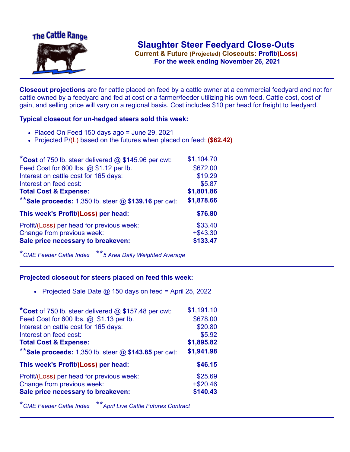

**Current & Future (Projected) Closeouts: Profit/(Loss)** .**For the week ending November 26, 2021**

**Closeout projections** are for cattle placed on feed by a cattle owner at a commercial feedyard and not for cattle owned by a feedyard and fed at cost or a farmer/feeder utilizing his own feed. Cattle cost, cost of gain, and selling price will vary on a regional basis. Cost includes \$10 per head for freight to feedyard.

## **Typical closeout for un-hedged steers sold this week:**

- Placed On Feed 150 days ago = June 29, 2021
- Projected P/(L) based on the futures when placed on feed: **(\$62.42)**

| *Cost of 750 lb. steer delivered $@$ \$145.96 per cwt:    | \$1,104.70  |
|-----------------------------------------------------------|-------------|
| Feed Cost for 600 lbs. @ \$1.12 per lb.                   | \$672.00    |
| Interest on cattle cost for 165 days:                     | \$19.29     |
| Interest on feed cost:                                    | \$5.87      |
| <b>Total Cost &amp; Expense:</b>                          | \$1,801.86  |
| ** Sale proceeds: $1,350$ lb. steer $@$ \$139.16 per cwt: | \$1,878.66  |
| This week's Profit/(Loss) per head:                       | \$76.80     |
| Profit/(Loss) per head for previous week:                 | \$33.40     |
| Change from previous week:                                | $+$ \$43.30 |
| Sale price necessary to breakeven:                        | \$133.47    |

\**CME Feeder Cattle Index* \*\**5 Area Daily Weighted Average*

## **Projected closeout for steers placed on feed this week:**

• Projected Sale Date  $@$  150 days on feed = April 25, 2022

| *Cost of 750 lb. steer delivered @ \$157.48 per cwt:    | \$1,191.10 |
|---------------------------------------------------------|------------|
| Feed Cost for 600 lbs. @ \$1.13 per lb.                 | \$678.00   |
| Interest on cattle cost for 165 days:                   | \$20.80    |
| Interest on feed cost:                                  | \$5.92     |
| <b>Total Cost &amp; Expense:</b>                        | \$1,895.82 |
| ** Sale proceeds: 1,350 lb. steer $@$ \$143.85 per cwt: | \$1,941.98 |
| This week's Profit/(Loss) per head:                     | \$46.15    |
| Profit/(Loss) per head for previous week:               | \$25.69    |
| Change from previous week:                              | $+ $20.46$ |
| Sale price necessary to breakeven:                      | \$140.43   |

\**CME Feeder Cattle Index* \*\**April Live Cattle Futures Contract*